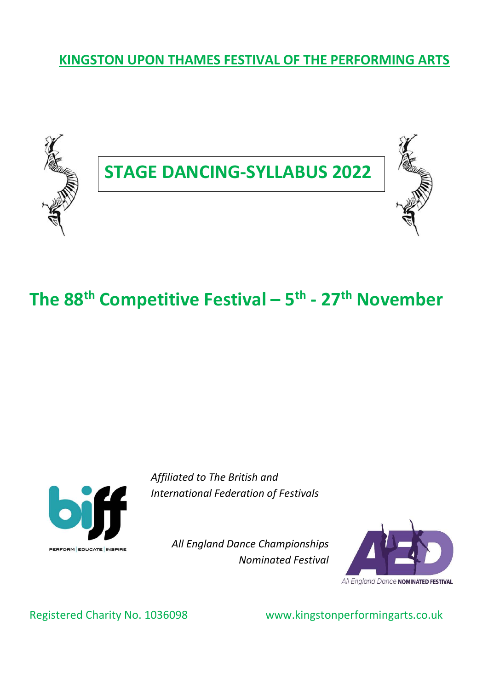KINGSTON UPON THAMES FESTIVAL OF THE PERFORMING ARTS



# The 88<sup>th</sup> Competitive Festival –  $5<sup>th</sup>$  - 27<sup>th</sup> November



Affiliated to The British and International Federation of Festivals

> All England Dance Championships Nominated Festival



Registered Charity No. 1036098 www.kingstonperformingarts.co.uk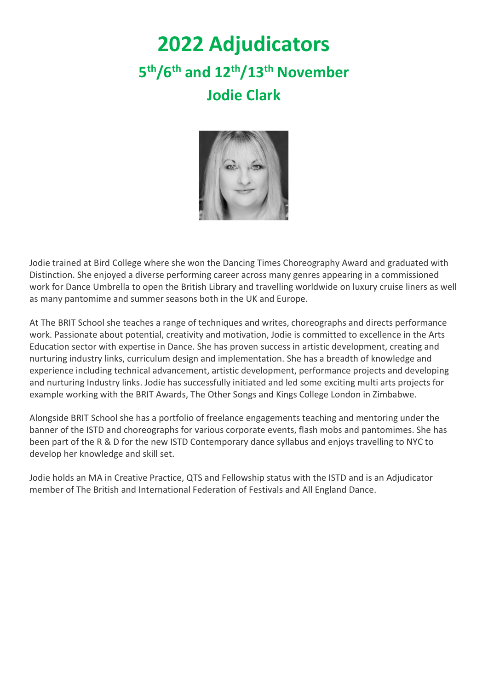# 2022 Adjudicators 5<sup>th</sup>/6<sup>th</sup> and 12<sup>th</sup>/13<sup>th</sup> November Jodie Clark



Jodie trained at Bird College where she won the Dancing Times Choreography Award and graduated with Distinction. She enjoyed a diverse performing career across many genres appearing in a commissioned work for Dance Umbrella to open the British Library and travelling worldwide on luxury cruise liners as well as many pantomime and summer seasons both in the UK and Europe.

At The BRIT School she teaches a range of techniques and writes, choreographs and directs performance work. Passionate about potential, creativity and motivation, Jodie is committed to excellence in the Arts Education sector with expertise in Dance. She has proven success in artistic development, creating and nurturing industry links, curriculum design and implementation. She has a breadth of knowledge and experience including technical advancement, artistic development, performance projects and developing and nurturing Industry links. Jodie has successfully initiated and led some exciting multi arts projects for example working with the BRIT Awards, The Other Songs and Kings College London in Zimbabwe.

Alongside BRIT School she has a portfolio of freelance engagements teaching and mentoring under the banner of the ISTD and choreographs for various corporate events, flash mobs and pantomimes. She has been part of the R & D for the new ISTD Contemporary dance syllabus and enjoys travelling to NYC to develop her knowledge and skill set.

Jodie holds an MA in Creative Practice, QTS and Fellowship status with the ISTD and is an Adjudicator member of The British and International Federation of Festivals and All England Dance.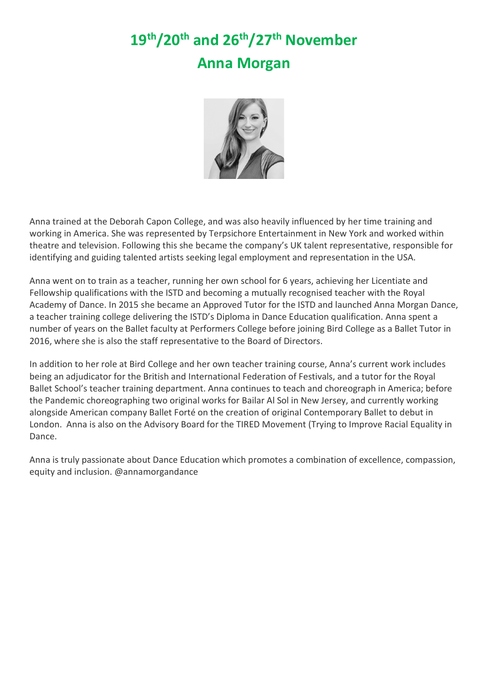# 19th/20th and 26th/27th November Anna Morgan



Anna trained at the Deborah Capon College, and was also heavily influenced by her time training and working in America. She was represented by Terpsichore Entertainment in New York and worked within theatre and television. Following this she became the company's UK talent representative, responsible for identifying and guiding talented artists seeking legal employment and representation in the USA.

Anna went on to train as a teacher, running her own school for 6 years, achieving her Licentiate and Fellowship qualifications with the ISTD and becoming a mutually recognised teacher with the Royal Academy of Dance. In 2015 she became an Approved Tutor for the ISTD and launched Anna Morgan Dance, a teacher training college delivering the ISTD's Diploma in Dance Education qualification. Anna spent a number of years on the Ballet faculty at Performers College before joining Bird College as a Ballet Tutor in 2016, where she is also the staff representative to the Board of Directors.

In addition to her role at Bird College and her own teacher training course, Anna's current work includes being an adjudicator for the British and International Federation of Festivals, and a tutor for the Royal Ballet School's teacher training department. Anna continues to teach and choreograph in America; before the Pandemic choreographing two original works for Bailar Al Sol in New Jersey, and currently working alongside American company Ballet Forté on the creation of original Contemporary Ballet to debut in London. Anna is also on the Advisory Board for the TIRED Movement (Trying to Improve Racial Equality in Dance.

Anna is truly passionate about Dance Education which promotes a combination of excellence, compassion, equity and inclusion. @annamorgandance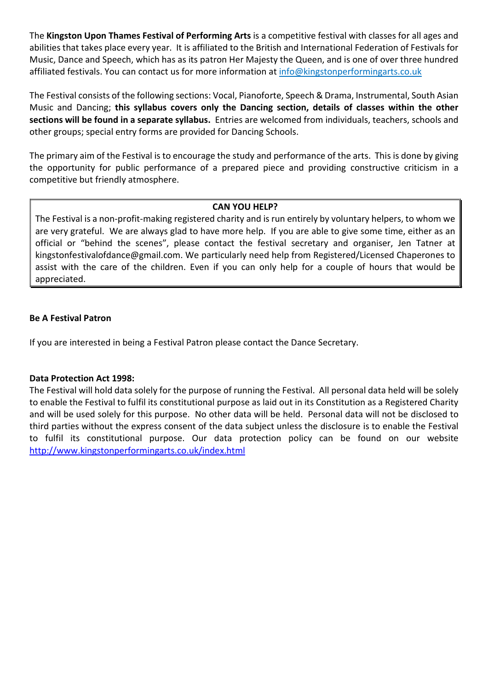The Kingston Upon Thames Festival of Performing Arts is a competitive festival with classes for all ages and abilities that takes place every year. It is affiliated to the British and International Federation of Festivals for Music, Dance and Speech, which has as its patron Her Majesty the Queen, and is one of over three hundred affiliated festivals. You can contact us for more information at info@kingstonperformingarts.co.uk

The Festival consists of the following sections: Vocal, Pianoforte, Speech & Drama, Instrumental, South Asian Music and Dancing; this syllabus covers only the Dancing section, details of classes within the other sections will be found in a separate syllabus. Entries are welcomed from individuals, teachers, schools and other groups; special entry forms are provided for Dancing Schools.

The primary aim of the Festival is to encourage the study and performance of the arts. This is done by giving the opportunity for public performance of a prepared piece and providing constructive criticism in a competitive but friendly atmosphere.

#### CAN YOU HELP?

The Festival is a non-profit-making registered charity and is run entirely by voluntary helpers, to whom we are very grateful. We are always glad to have more help. If you are able to give some time, either as an official or "behind the scenes", please contact the festival secretary and organiser, Jen Tatner at kingstonfestivalofdance@gmail.com. We particularly need help from Registered/Licensed Chaperones to assist with the care of the children. Even if you can only help for a couple of hours that would be appreciated.

#### Be A Festival Patron

If you are interested in being a Festival Patron please contact the Dance Secretary.

#### Data Protection Act 1998:

The Festival will hold data solely for the purpose of running the Festival. All personal data held will be solely to enable the Festival to fulfil its constitutional purpose as laid out in its Constitution as a Registered Charity and will be used solely for this purpose. No other data will be held. Personal data will not be disclosed to third parties without the express consent of the data subject unless the disclosure is to enable the Festival to fulfil its constitutional purpose. Our data protection policy can be found on our website http://www.kingstonperformingarts.co.uk/index.html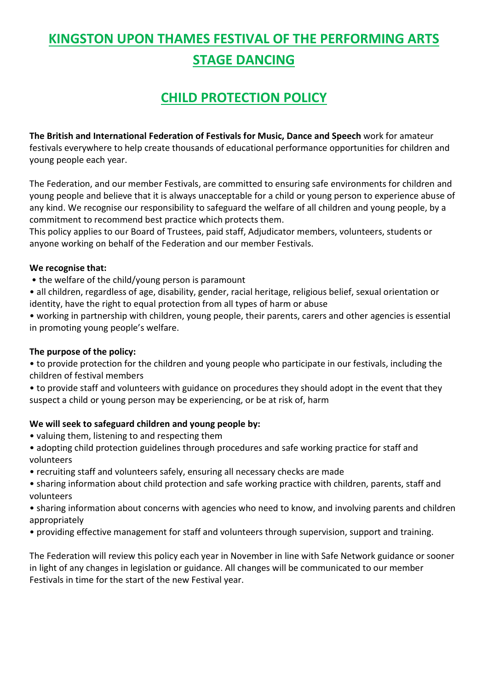## KINGSTON UPON THAMES FESTIVAL OF THE PERFORMING ARTS STAGE DANCING

### CHILD PROTECTION POLICY

The British and International Federation of Festivals for Music, Dance and Speech work for amateur festivals everywhere to help create thousands of educational performance opportunities for children and young people each year.

The Federation, and our member Festivals, are committed to ensuring safe environments for children and young people and believe that it is always unacceptable for a child or young person to experience abuse of any kind. We recognise our responsibility to safeguard the welfare of all children and young people, by a commitment to recommend best practice which protects them.

This policy applies to our Board of Trustees, paid staff, Adjudicator members, volunteers, students or anyone working on behalf of the Federation and our member Festivals.

#### We recognise that:

- the welfare of the child/young person is paramount
- all children, regardless of age, disability, gender, racial heritage, religious belief, sexual orientation or identity, have the right to equal protection from all types of harm or abuse

• working in partnership with children, young people, their parents, carers and other agencies is essential in promoting young people's welfare.

#### The purpose of the policy:

• to provide protection for the children and young people who participate in our festivals, including the children of festival members

• to provide staff and volunteers with guidance on procedures they should adopt in the event that they suspect a child or young person may be experiencing, or be at risk of, harm

#### We will seek to safeguard children and young people by:

- valuing them, listening to and respecting them
- adopting child protection guidelines through procedures and safe working practice for staff and volunteers
- recruiting staff and volunteers safely, ensuring all necessary checks are made
- sharing information about child protection and safe working practice with children, parents, staff and volunteers
- sharing information about concerns with agencies who need to know, and involving parents and children appropriately
- providing effective management for staff and volunteers through supervision, support and training.

The Federation will review this policy each year in November in line with Safe Network guidance or sooner in light of any changes in legislation or guidance. All changes will be communicated to our member Festivals in time for the start of the new Festival year.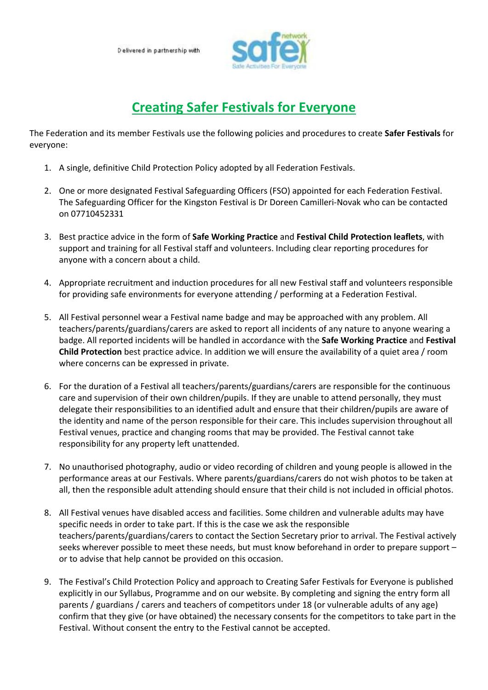

### Creating Safer Festivals for Everyone

The Federation and its member Festivals use the following policies and procedures to create Safer Festivals for everyone:

- 1. A single, definitive Child Protection Policy adopted by all Federation Festivals.
- 2. One or more designated Festival Safeguarding Officers (FSO) appointed for each Federation Festival. The Safeguarding Officer for the Kingston Festival is Dr Doreen Camilleri-Novak who can be contacted on 07710452331
- 3. Best practice advice in the form of Safe Working Practice and Festival Child Protection leaflets, with support and training for all Festival staff and volunteers. Including clear reporting procedures for anyone with a concern about a child.
- 4. Appropriate recruitment and induction procedures for all new Festival staff and volunteers responsible for providing safe environments for everyone attending / performing at a Federation Festival.
- 5. All Festival personnel wear a Festival name badge and may be approached with any problem. All teachers/parents/guardians/carers are asked to report all incidents of any nature to anyone wearing a badge. All reported incidents will be handled in accordance with the Safe Working Practice and Festival Child Protection best practice advice. In addition we will ensure the availability of a quiet area / room where concerns can be expressed in private.
- 6. For the duration of a Festival all teachers/parents/guardians/carers are responsible for the continuous care and supervision of their own children/pupils. If they are unable to attend personally, they must delegate their responsibilities to an identified adult and ensure that their children/pupils are aware of the identity and name of the person responsible for their care. This includes supervision throughout all Festival venues, practice and changing rooms that may be provided. The Festival cannot take responsibility for any property left unattended.
- 7. No unauthorised photography, audio or video recording of children and young people is allowed in the performance areas at our Festivals. Where parents/guardians/carers do not wish photos to be taken at all, then the responsible adult attending should ensure that their child is not included in official photos.
- 8. All Festival venues have disabled access and facilities. Some children and vulnerable adults may have specific needs in order to take part. If this is the case we ask the responsible teachers/parents/guardians/carers to contact the Section Secretary prior to arrival. The Festival actively seeks wherever possible to meet these needs, but must know beforehand in order to prepare support – or to advise that help cannot be provided on this occasion.
- 9. The Festival's Child Protection Policy and approach to Creating Safer Festivals for Everyone is published explicitly in our Syllabus, Programme and on our website. By completing and signing the entry form all parents / guardians / carers and teachers of competitors under 18 (or vulnerable adults of any age) confirm that they give (or have obtained) the necessary consents for the competitors to take part in the Festival. Without consent the entry to the Festival cannot be accepted.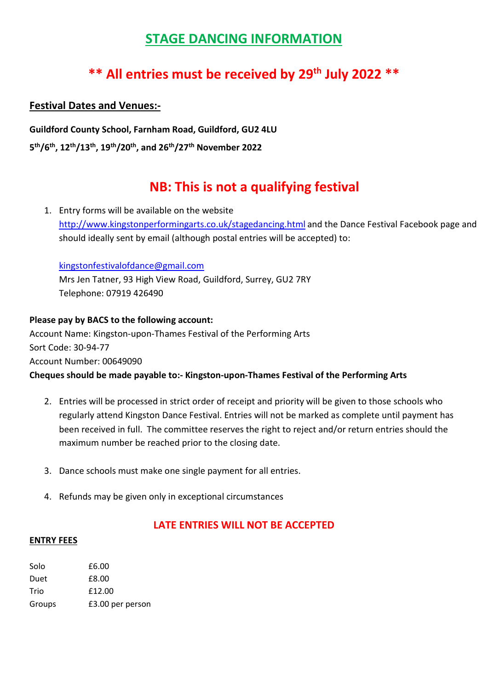### STAGE DANCING INFORMATION

### \*\* All entries must be received by 29<sup>th</sup> July 2022 \*\*

### Festival Dates and Venues:-

Guildford County School, Farnham Road, Guildford, GU2 4LU

5<sup>th</sup>/6<sup>th</sup>, 12<sup>th</sup>/13<sup>th</sup>, 19<sup>th</sup>/20<sup>th</sup>, and 26<sup>th</sup>/27<sup>th</sup> November 2022

### NB: This is not a qualifying festival

1. Entry forms will be available on the website http://www.kingstonperformingarts.co.uk/stagedancing.html and the Dance Festival Facebook page and should ideally sent by email (although postal entries will be accepted) to:

kingstonfestivalofdance@gmail.com Mrs Jen Tatner, 93 High View Road, Guildford, Surrey, GU2 7RY Telephone: 07919 426490

Please pay by BACS to the following account: Account Name: Kingston-upon-Thames Festival of the Performing Arts Sort Code: 30-94-77 Account Number: 00649090 Cheques should be made payable to:- Kingston-upon-Thames Festival of the Performing Arts

- 2. Entries will be processed in strict order of receipt and priority will be given to those schools who regularly attend Kingston Dance Festival. Entries will not be marked as complete until payment has been received in full. The committee reserves the right to reject and/or return entries should the maximum number be reached prior to the closing date.
- 3. Dance schools must make one single payment for all entries.
- 4. Refunds may be given only in exceptional circumstances

### LATE ENTRIES WILL NOT BE ACCEPTED

#### ENTRY FEES

| Solo   | £6.00            |
|--------|------------------|
| Duet   | £8.00            |
| Trio   | £12.00           |
| Groups | £3.00 per person |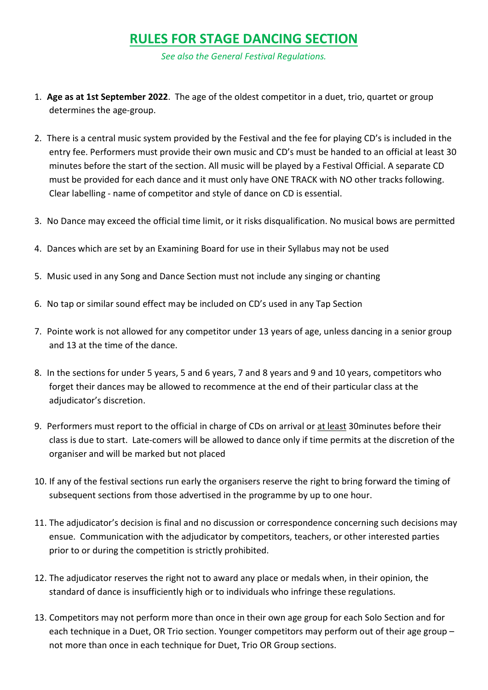### RULES FOR STAGE DANCING SECTION

See also the General Festival Regulations.

- 1. Age as at 1st September 2022. The age of the oldest competitor in a duet, trio, quartet or group determines the age-group.
- 2. There is a central music system provided by the Festival and the fee for playing CD's is included in the entry fee. Performers must provide their own music and CD's must be handed to an official at least 30 minutes before the start of the section. All music will be played by a Festival Official. A separate CD must be provided for each dance and it must only have ONE TRACK with NO other tracks following. Clear labelling - name of competitor and style of dance on CD is essential.
- 3. No Dance may exceed the official time limit, or it risks disqualification. No musical bows are permitted
- 4. Dances which are set by an Examining Board for use in their Syllabus may not be used
- 5. Music used in any Song and Dance Section must not include any singing or chanting
- 6. No tap or similar sound effect may be included on CD's used in any Tap Section
- 7. Pointe work is not allowed for any competitor under 13 years of age, unless dancing in a senior group and 13 at the time of the dance.
- 8. In the sections for under 5 years, 5 and 6 years, 7 and 8 years and 9 and 10 years, competitors who forget their dances may be allowed to recommence at the end of their particular class at the adjudicator's discretion.
- 9. Performers must report to the official in charge of CDs on arrival or at least 30minutes before their class is due to start. Late-comers will be allowed to dance only if time permits at the discretion of the organiser and will be marked but not placed
- 10. If any of the festival sections run early the organisers reserve the right to bring forward the timing of subsequent sections from those advertised in the programme by up to one hour.
- 11. The adjudicator's decision is final and no discussion or correspondence concerning such decisions may ensue. Communication with the adjudicator by competitors, teachers, or other interested parties prior to or during the competition is strictly prohibited.
- 12. The adjudicator reserves the right not to award any place or medals when, in their opinion, the standard of dance is insufficiently high or to individuals who infringe these regulations.
- 13. Competitors may not perform more than once in their own age group for each Solo Section and for each technique in a Duet, OR Trio section. Younger competitors may perform out of their age group not more than once in each technique for Duet, Trio OR Group sections.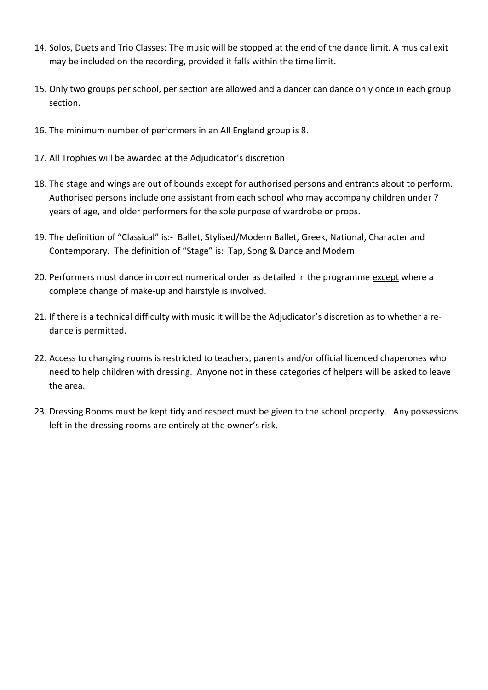- 14. Solos, Duets and Trio Classes: The music will be stopped at the end of the dance limit. A musical exit may be included on the recording, provided it falls within the time limit.
- 15. Only two groups per school, per section are allowed and a dancer can dance only once in each group section.
- 16. The minimum number of performers in an All England group is 8.
- 17. All Trophies will be awarded at the Adjudicator's discretion
- 18. The stage and wings are out of bounds except for authorised persons and entrants about to perform. Authorised persons include one assistant from each school who may accompany children under 7 years of age, and older performers for the sole purpose of wardrobe or props.
- 19. The definition of "Classical" is:- Ballet, Stylised/Modern Ballet, Greek, National, Character and Contemporary. The definition of "Stage" is: Tap, Song & Dance and Modern.
- 20. Performers must dance in correct numerical order as detailed in the programme except where a complete change of make-up and hairstyle is involved.
- 21. If there is a technical difficulty with music it will be the Adjudicator's discretion as to whether a redance is permitted.
- 22. Access to changing rooms is restricted to teachers, parents and/or official licenced chaperones who need to help children with dressing. Anyone not in these categories of helpers will be asked to leave the area.
- 23. Dressing Rooms must be kept tidy and respect must be given to the school property. Any possessions left in the dressing rooms are entirely at the owner's risk.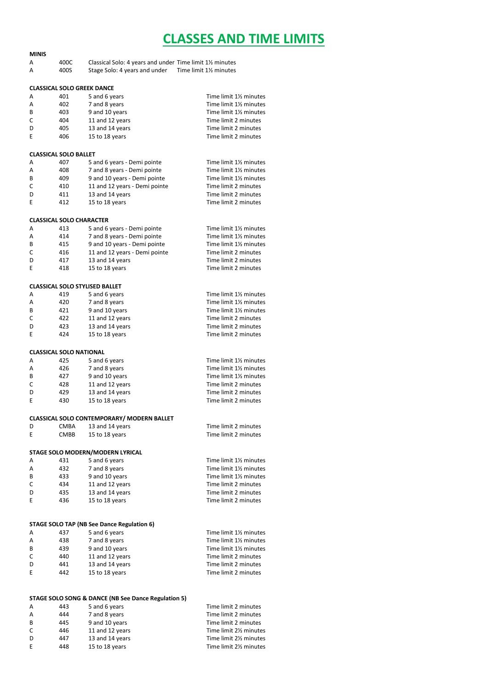### CLASSES AND TIME LIMITS

| <b>MINIS</b>                   |                                   |                                                         |                         |
|--------------------------------|-----------------------------------|---------------------------------------------------------|-------------------------|
| А                              | 400C                              | Classical Solo: 4 years and under Time limit 1½ minutes |                         |
| A                              | 400S                              | Stage Solo: 4 years and under                           | Time limit 11/2 minutes |
|                                |                                   |                                                         |                         |
|                                | <b>CLASSICAL SOLO GREEK DANCE</b> |                                                         |                         |
| Α                              | 401                               | 5 and 6 years                                           | Time limit 1% minutes   |
| А                              | 402                               | 7 and 8 years                                           | Time limit 1% minutes   |
| В                              | 403                               | 9 and 10 years                                          | Time limit 1% minutes   |
| C                              | 404                               | 11 and 12 years                                         | Time limit 2 minutes    |
| D                              | 405                               | 13 and 14 years                                         | Time limit 2 minutes    |
| E                              | 406                               | 15 to 18 years                                          | Time limit 2 minutes    |
|                                |                                   |                                                         |                         |
|                                |                                   |                                                         |                         |
| <b>CLASSICAL SOLO BALLET</b>   |                                   |                                                         |                         |
| A                              | 407                               | 5 and 6 years - Demi pointe                             | Time limit 1% minutes   |
| А                              | 408                               | 7 and 8 years - Demi pointe                             | Time limit 1% minutes   |
| В                              | 409                               | 9 and 10 years - Demi pointe                            | Time limit 1% minutes   |
| C                              | 410                               | 11 and 12 years - Demi pointe                           | Time limit 2 minutes    |
| D                              | 411                               | 13 and 14 years                                         | Time limit 2 minutes    |
| E                              | 412                               | 15 to 18 years                                          | Time limit 2 minutes    |
|                                |                                   |                                                         |                         |
|                                | <b>CLASSICAL SOLO CHARACTER</b>   |                                                         |                         |
| А                              | 413                               | 5 and 6 years - Demi pointe                             | Time limit 1% minutes   |
| А                              | 414                               | 7 and 8 years - Demi pointe                             | Time limit 1% minutes   |
|                                |                                   |                                                         |                         |
| B                              | 415                               | 9 and 10 years - Demi pointe                            | Time limit 1% minutes   |
| C                              | 416                               | 11 and 12 years - Demi pointe                           | Time limit 2 minutes    |
| D                              | 417                               | 13 and 14 years                                         | Time limit 2 minutes    |
| E                              | 418                               | 15 to 18 years                                          | Time limit 2 minutes    |
|                                |                                   |                                                         |                         |
|                                |                                   | <b>CLASSICAL SOLO STYLISED BALLET</b>                   |                         |
| Α                              | 419                               | 5 and 6 years                                           | Time limit 1% minutes   |
| A                              | 420                               | 7 and 8 years                                           | Time limit 11/2 minutes |
| B                              | 421                               | 9 and 10 years                                          | Time limit 11/2 minutes |
| C                              | 422                               | 11 and 12 years                                         | Time limit 2 minutes    |
|                                |                                   |                                                         |                         |
| D                              | 423                               | 13 and 14 years                                         | Time limit 2 minutes    |
| E                              | 424                               | 15 to 18 years                                          | Time limit 2 minutes    |
| <b>CLASSICAL SOLO NATIONAL</b> |                                   |                                                         |                         |
| A                              | 425                               | 5 and 6 years                                           | Time limit 1% minutes   |
| A                              | 426                               | 7 and 8 years                                           | Time limit 1% minutes   |
| В                              | 427                               | 9 and 10 years                                          | Time limit 1% minutes   |
| C                              | 428                               | 11 and 12 years                                         | Time limit 2 minutes    |
| D                              | 429                               | 13 and 14 years                                         | Time limit 2 minutes    |
| E                              | 430                               | 15 to 18 years                                          | Time limit 2 minutes    |
|                                |                                   |                                                         |                         |
|                                |                                   | CLASSICAL SOLO CONTEMPORARY/ MODERN BALLET              |                         |
| D                              | <b>CMBA</b>                       | 13 and 14 years                                         | Time limit 2 minutes    |
| E                              | CMBB                              | 15 to 18 years                                          | Time limit 2 minutes    |
|                                |                                   |                                                         |                         |
|                                |                                   | STAGE SOLO MODERN/MODERN LYRICAL                        |                         |
| A                              | 431                               | 5 and 6 years                                           | Time limit 1% minutes   |
| A                              | 432                               | 7 and 8 years                                           | Time limit 1% minutes   |
| В                              | 433                               | 9 and 10 years                                          | Time limit 1% minutes   |
| С                              | 434                               | 11 and 12 years                                         | Time limit 2 minutes    |
| D                              | 435                               | 13 and 14 years                                         | Time limit 2 minutes    |
| E                              | 436                               | 15 to 18 years                                          | Time limit 2 minutes    |
|                                |                                   |                                                         |                         |
|                                |                                   |                                                         |                         |
|                                |                                   | STAGE SOLO TAP (NB See Dance Regulation 6)              |                         |
| А                              | 437                               | 5 and 6 years                                           | Time limit 1% minutes   |
| А                              | 438                               | 7 and 8 years                                           | Time limit 1% minutes   |
| В                              | 439                               | 9 and 10 years                                          | Time limit 1% minutes   |
| C                              | 440                               | 11 and 12 years                                         | Time limit 2 minutes    |
| D                              | 441                               | 13 and 14 years                                         | Time limit 2 minutes    |
| E                              | 442                               | 15 to 18 years                                          | Time limit 2 minutes    |
|                                |                                   |                                                         |                         |
|                                |                                   |                                                         |                         |
|                                |                                   | STAGE SOLO SONG & DANCE (NB See Dance Regulation 5)     |                         |
| A                              | 443                               | 5 and 6 years                                           | Time limit 2 minutes    |
| Α                              | 444                               | 7 and 8 years                                           | Time limit 2 minutes    |
| В                              | 445                               | 9 and 10 years                                          | Time limit 2 minutes    |
| С                              | 446                               | 11 and 12 years                                         | Time limit 21/2 minutes |
| D                              | 447                               | 13 and 14 years                                         | Time limit 21/2 minutes |
| E                              | 448                               | 15 to 18 years                                          | Time limit 21/2 minutes |
|                                |                                   |                                                         |                         |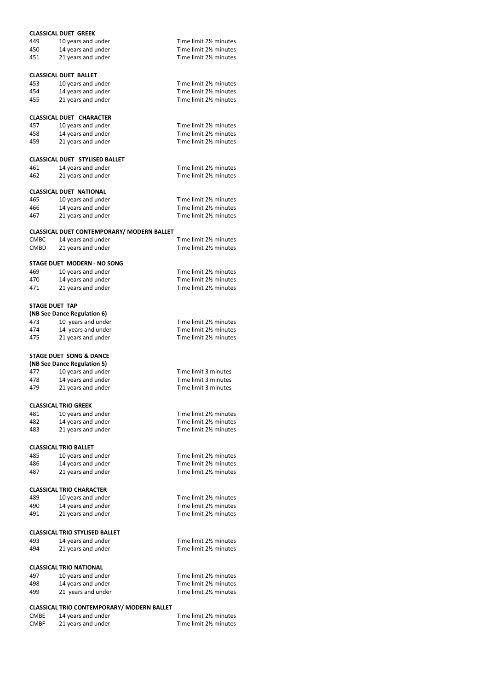|                       | <b>CLASSICAL DUET GREEK</b>                       |                                                  |
|-----------------------|---------------------------------------------------|--------------------------------------------------|
| 449                   | 10 years and under                                | Time limit 21/2 minutes                          |
| 450                   | 14 years and under                                | Time limit 2% minutes                            |
| 451                   | 21 years and under                                | Time limit 21/ <sub>2</sub> minutes              |
|                       |                                                   |                                                  |
|                       |                                                   |                                                  |
|                       | <b>CLASSICAL DUET BALLET</b>                      |                                                  |
| 453                   | 10 years and under                                | Time limit 2 <sup>1</sup> / <sub>2</sub> minutes |
| 454                   | 14 years and under                                | Time limit 2 <sup>1/2</sup> minutes              |
| 455                   | 21 years and under                                | Time limit 21/2 minutes                          |
|                       |                                                   |                                                  |
|                       |                                                   |                                                  |
|                       | <b>CLASSICAL DUET CHARACTER</b>                   |                                                  |
| 457                   | 10 years and under                                | Time limit 2% minutes                            |
| 458                   | 14 years and under                                | Time limit 2 <sup>1/2</sup> minutes              |
| 459                   | 21 years and under                                | Time limit 2% minutes                            |
|                       |                                                   |                                                  |
|                       | <b>CLASSICAL DUET STYLISED BALLET</b>             |                                                  |
| 461                   | 14 years and under                                | Time limit 2 <sup>1</sup> / <sub>2</sub> minutes |
| 462                   | 21 years and under                                | Time limit 21/ <sub>2</sub> minutes              |
|                       |                                                   |                                                  |
|                       | <b>CLASSICAL DUET NATIONAL</b>                    |                                                  |
| 465                   | 10 years and under                                | Time limit 21/ <sub>2</sub> minutes              |
| 466                   | 14 years and under                                | Time limit 2% minutes                            |
|                       |                                                   |                                                  |
| 467                   | 21 years and under                                | Time limit 2% minutes                            |
|                       |                                                   |                                                  |
|                       | CLASSICAL DUET CONTEMPORARY/ MODERN BALLET        |                                                  |
| <b>CMBC</b>           | 14 years and under                                | Time limit 2% minutes                            |
| <b>CMBD</b>           | 21 years and under                                | Time limit 2% minutes                            |
|                       |                                                   |                                                  |
|                       | STAGE DUET MODERN - NO SONG                       |                                                  |
| 469                   | 10 years and under                                | Time limit 21/ <sub>2</sub> minutes              |
| 470                   | 14 years and under                                | Time limit 2% minutes                            |
| 471                   | 21 years and under                                | Time limit 21/ <sub>2</sub> minutes              |
|                       |                                                   |                                                  |
| <b>STAGE DUET TAP</b> |                                                   |                                                  |
|                       | (NB See Dance Regulation 6)                       |                                                  |
| 473                   | 10 years and under                                | Time limit 21/ <sub>2</sub> minutes              |
|                       |                                                   | Time limit 21/ <sub>2</sub> minutes              |
| 474                   | 14 years and under                                |                                                  |
| 475                   | 21 years and under                                | Time limit 21/ <sub>2</sub> minutes              |
|                       |                                                   |                                                  |
|                       | STAGE DUET SONG & DANCE                           |                                                  |
|                       | (NB See Dance Regulation 5)                       |                                                  |
| 477                   | 10 years and under                                | Time limit 3 minutes                             |
| 478                   | 14 years and under                                | Time limit 3 minutes                             |
| 479                   | 21 years and under                                | Time limit 3 minutes                             |
|                       |                                                   |                                                  |
|                       | <b>CLASSICAL TRIO GREEK</b>                       |                                                  |
|                       |                                                   |                                                  |
| 481                   | 10 years and under                                | Time limit 21/ <sub>2</sub> minutes              |
| 482                   | 14 years and under                                | Time limit 2% minutes                            |
| 483                   | 21 years and under                                | Time limit 21/ <sub>2</sub> minutes              |
|                       |                                                   |                                                  |
|                       | <b>CLASSICAL TRIO BALLET</b>                      |                                                  |
| 485                   | 10 years and under                                | Time limit 21/ <sub>2</sub> minutes              |
| 486                   | 14 years and under                                | Time limit 2% minutes                            |
| 487                   | 21 years and under                                | Time limit 21/ <sub>2</sub> minutes              |
|                       |                                                   |                                                  |
|                       | <b>CLASSICAL TRIO CHARACTER</b>                   |                                                  |
|                       |                                                   |                                                  |
| 489                   | 10 years and under                                | Time limit 21/ <sub>2</sub> minutes              |
| 490                   | 14 years and under                                | Time limit 21/ <sub>2</sub> minutes              |
| 491                   | 21 years and under                                | Time limit 21/ <sub>2</sub> minutes              |
|                       |                                                   |                                                  |
|                       | <b>CLASSICAL TRIO STYLISED BALLET</b>             |                                                  |
| 493                   | 14 years and under                                | Time limit 21/ <sub>2</sub> minutes              |
| 494                   | 21 years and under                                | Time limit 21/ <sub>2</sub> minutes              |
|                       |                                                   |                                                  |
|                       |                                                   |                                                  |
|                       | <b>CLASSICAL TRIO NATIONAL</b>                    |                                                  |
| 497                   | 10 years and under                                | Time limit 2½ minutes                            |
| 498                   | 14 years and under                                | Time limit 21/2 minutes                          |
| 499                   | 21 years and under                                | Time limit 21/ <sub>2</sub> minutes              |
|                       |                                                   |                                                  |
|                       | <b>CLASSICAL TRIO CONTEMPORARY/ MODERN BALLET</b> |                                                  |
|                       |                                                   |                                                  |

| CMBE | 14 years and under | Time limit 2 <sup>1/2</sup> minutes |
|------|--------------------|-------------------------------------|
| CMBF | 21 years and under | Time limit 2 <sup>1/2</sup> minutes |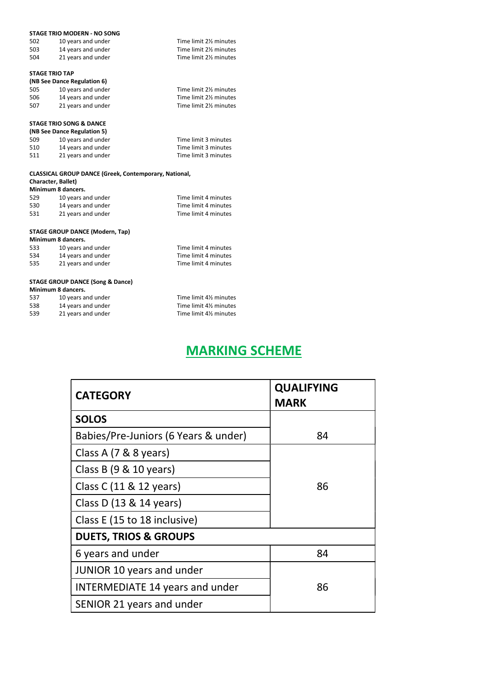|                           | STAGE TRIO MODERN - NO SONG                                  |                       |
|---------------------------|--------------------------------------------------------------|-----------------------|
| 502                       | 10 years and under                                           | Time limit 2% minutes |
| 503                       | 14 years and under                                           | Time limit 2% minutes |
| 504                       | 21 years and under                                           | Time limit 2% minutes |
| <b>STAGE TRIO TAP</b>     |                                                              |                       |
|                           | (NB See Dance Regulation 6)                                  |                       |
| 505                       | 10 years and under                                           | Time limit 2% minutes |
| 506                       |                                                              | Time limit 2% minutes |
|                           | 14 years and under                                           |                       |
| 507                       | 21 years and under                                           | Time limit 2% minutes |
|                           | <b>STAGE TRIO SONG &amp; DANCE</b>                           |                       |
|                           | (NB See Dance Regulation 5)                                  |                       |
| 509                       |                                                              | Time limit 3 minutes  |
|                           | 10 years and under                                           |                       |
| 510                       | 14 years and under                                           | Time limit 3 minutes  |
| 511                       | 21 years and under                                           | Time limit 3 minutes  |
|                           | <b>CLASSICAL GROUP DANCE (Greek, Contemporary, National,</b> |                       |
| <b>Character, Ballet)</b> |                                                              |                       |
|                           | Minimum 8 dancers.                                           |                       |
| 529                       | 10 years and under                                           | Time limit 4 minutes  |
| 530                       |                                                              | Time limit 4 minutes  |
|                           | 14 years and under                                           |                       |
| 531                       | 21 years and under                                           | Time limit 4 minutes  |
|                           | STAGE GROUP DANCE (Modern Tan)                               |                       |

#### STAGE GROUP DANCE (Modern, Tap)

| Minimum 8 dancers. |                    |                      |  |
|--------------------|--------------------|----------------------|--|
| 533                | 10 years and under | Time limit 4 minutes |  |
| 534                | 14 years and under | Time limit 4 minutes |  |
| 535                | 21 years and under | Time limit 4 minutes |  |

#### STAGE GROUP DANCE (Song & Dance)

#### Minimum 8 dancers.

| 537 | 10 years and under | Time limit 41/2 minutes |
|-----|--------------------|-------------------------|
| 538 | 14 years and under | Time limit 4% minutes   |
| 539 | 21 years and under | Time limit 4% minutes   |

## MARKING SCHEME

| <b>CATEGORY</b>                        | <b>QUALIFYING</b><br><b>MARK</b> |
|----------------------------------------|----------------------------------|
| <b>SOLOS</b>                           |                                  |
| Babies/Pre-Juniors (6 Years & under)   | 84                               |
| Class A (7 & 8 years)                  |                                  |
| Class B $(9 & 10$ years)               |                                  |
| Class C (11 & 12 years)                | 86                               |
| Class D (13 & 14 years)                |                                  |
| Class E (15 to 18 inclusive)           |                                  |
| <b>DUETS, TRIOS &amp; GROUPS</b>       |                                  |
| 6 years and under                      | 84                               |
| <b>JUNIOR 10 years and under</b>       |                                  |
| <b>INTERMEDIATE 14 years and under</b> | 86                               |
| SENIOR 21 years and under              |                                  |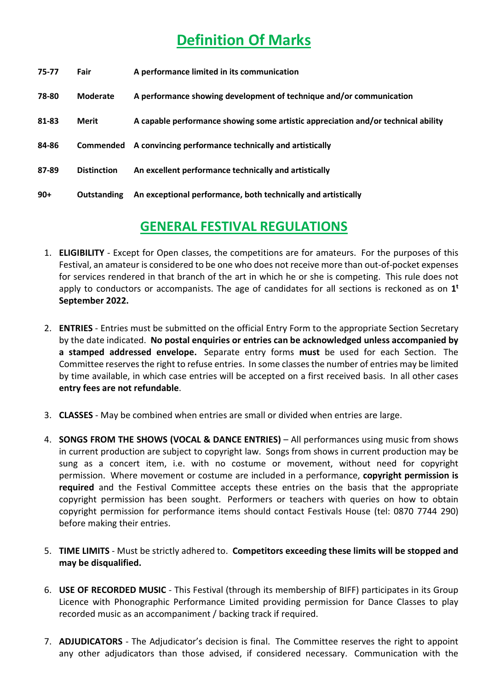## Definition Of Marks

| 75-77 | Fair               | A performance limited in its communication                                        |
|-------|--------------------|-----------------------------------------------------------------------------------|
| 78-80 | <b>Moderate</b>    | A performance showing development of technique and/or communication               |
| 81-83 | Merit              | A capable performance showing some artistic appreciation and/or technical ability |
| 84-86 | Commended          | A convincing performance technically and artistically                             |
| 87-89 | <b>Distinction</b> | An excellent performance technically and artistically                             |
| $90+$ | <b>Outstanding</b> | An exceptional performance, both technically and artistically                     |

### GENERAL FESTIVAL REGULATIONS

- 1. ELIGIBILITY Except for Open classes, the competitions are for amateurs. For the purposes of this Festival, an amateur is considered to be one who does not receive more than out-of-pocket expenses for services rendered in that branch of the art in which he or she is competing. This rule does not apply to conductors or accompanists. The age of candidates for all sections is reckoned as on  $1<sup>t</sup>$ September 2022.
- 2. **ENTRIES** Entries must be submitted on the official Entry Form to the appropriate Section Secretary by the date indicated. No postal enquiries or entries can be acknowledged unless accompanied by a stamped addressed envelope. Separate entry forms must be used for each Section. The Committee reserves the right to refuse entries. In some classes the number of entries may be limited by time available, in which case entries will be accepted on a first received basis. In all other cases entry fees are not refundable.
- 3. CLASSES May be combined when entries are small or divided when entries are large.
- 4. SONGS FROM THE SHOWS (VOCAL & DANCE ENTRIES) All performances using music from shows in current production are subject to copyright law. Songs from shows in current production may be sung as a concert item, i.e. with no costume or movement, without need for copyright permission. Where movement or costume are included in a performance, copyright permission is required and the Festival Committee accepts these entries on the basis that the appropriate copyright permission has been sought. Performers or teachers with queries on how to obtain copyright permission for performance items should contact Festivals House (tel: 0870 7744 290) before making their entries.
- 5. TIME LIMITS Must be strictly adhered to. Competitors exceeding these limits will be stopped and may be disqualified.
- 6. USE OF RECORDED MUSIC This Festival (through its membership of BIFF) participates in its Group Licence with Phonographic Performance Limited providing permission for Dance Classes to play recorded music as an accompaniment / backing track if required.
- 7. **ADJUDICATORS** The Adjudicator's decision is final. The Committee reserves the right to appoint any other adjudicators than those advised, if considered necessary. Communication with the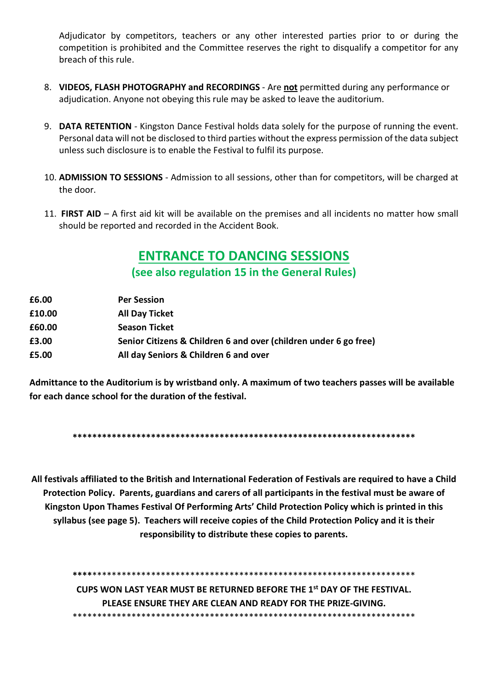Adjudicator by competitors, teachers or any other interested parties prior to or during the competition is prohibited and the Committee reserves the right to disqualify a competitor for any breach of this rule.

- 8. VIDEOS, FLASH PHOTOGRAPHY and RECORDINGS Are not permitted during any performance or adjudication. Anyone not obeying this rule may be asked to leave the auditorium.
- 9. DATA RETENTION Kingston Dance Festival holds data solely for the purpose of running the event. Personal data will not be disclosed to third parties without the express permission of the data subject unless such disclosure is to enable the Festival to fulfil its purpose.
- 10. ADMISSION TO SESSIONS Admission to all sessions, other than for competitors, will be charged at the door.
- 11. FIRST AID A first aid kit will be available on the premises and all incidents no matter how small should be reported and recorded in the Accident Book.

### ENTRANCE TO DANCING SESSIONS

(see also regulation 15 in the General Rules)

| <b>Per Session</b>                                               |
|------------------------------------------------------------------|
| <b>All Day Ticket</b>                                            |
| <b>Season Ticket</b>                                             |
| Senior Citizens & Children 6 and over (children under 6 go free) |
| All day Seniors & Children 6 and over                            |
|                                                                  |

Admittance to the Auditorium is by wristband only. A maximum of two teachers passes will be available for each dance school for the duration of the festival.

\*\*\*\*\*\*\*\*\*\*\*\*\*\*\*\*\*\*\*\*\*\*\*\*\*\*\*\*\*\*\*\*\*\*\*\*\*\*\*\*\*\*\*\*\*\*\*\*\*\*\*\*\*\*\*\*\*\*\*\*\*\*\*\*\*\*\*\*\*\*

All festivals affiliated to the British and International Federation of Festivals are required to have a Child Protection Policy. Parents, guardians and carers of all participants in the festival must be aware of Kingston Upon Thames Festival Of Performing Arts' Child Protection Policy which is printed in this syllabus (see page 5). Teachers will receive copies of the Child Protection Policy and it is their responsibility to distribute these copies to parents.

\*\*\*\*\*\*\*\*\*\*\*\*\*\*\*\*\*\*\*\*\*\*\*\*\*\*\*\*\*\*\*\*\*\*\*\*\*\*\*\*\*\*\*\*\*\*\*\*\*\*\*\*\*\*\*\*\*\*\*\*\*\*\*\*\*\*\*\*\*\* CUPS WON LAST YEAR MUST BE RETURNED BEFORE THE 1st DAY OF THE FESTIVAL. PLEASE ENSURE THEY ARE CLEAN AND READY FOR THE PRIZE-GIVING. \*\*\*\*\*\*\*\*\*\*\*\*\*\*\*\*\*\*\*\*\*\*\*\*\*\*\*\*\*\*\*\*\*\*\*\*\*\*\*\*\*\*\*\*\*\*\*\*\*\*\*\*\*\*\*\*\*\*\*\*\*\*\*\*\*\*\*\*\*\*